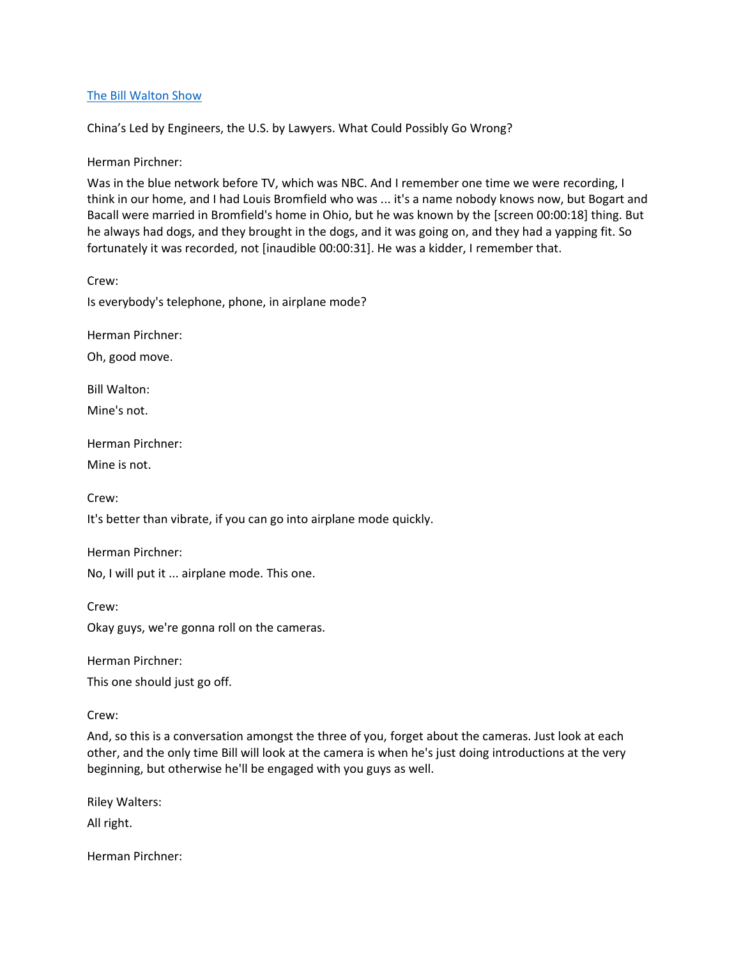## [The Bill Walton Show](https://thebillwaltonshow.com/)

China's Led by Engineers, the U.S. by Lawyers. What Could Possibly Go Wrong?

Herman Pirchner:

Was in the blue network before TV, which was NBC. And I remember one time we were recording, I think in our home, and I had Louis Bromfield who was ... it's a name nobody knows now, but Bogart and Bacall were married in Bromfield's home in Ohio, but he was known by the [screen 00:00:18] thing. But he always had dogs, and they brought in the dogs, and it was going on, and they had a yapping fit. So fortunately it was recorded, not [inaudible 00:00:31]. He was a kidder, I remember that.

Crew:

Is everybody's telephone, phone, in airplane mode?

Herman Pirchner:

Oh, good move.

Bill Walton:

Mine's not.

Herman Pirchner:

Mine is not.

Crew:

Crew:

It's better than vibrate, if you can go into airplane mode quickly.

Herman Pirchner:

No, I will put it ... airplane mode. This one.

Okay guys, we're gonna roll on the cameras.

Herman Pirchner:

This one should just go off.

Crew:

And, so this is a conversation amongst the three of you, forget about the cameras. Just look at each other, and the only time Bill will look at the camera is when he's just doing introductions at the very beginning, but otherwise he'll be engaged with you guys as well.

Riley Walters:

All right.

Herman Pirchner: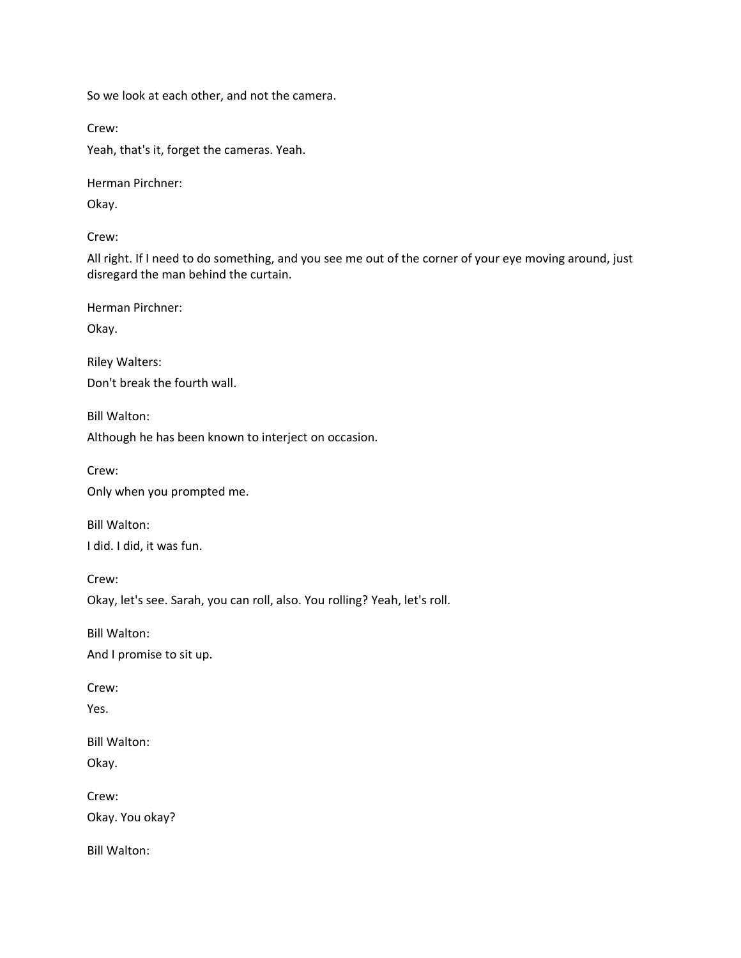So we look at each other, and not the camera.

Crew:

Yeah, that's it, forget the cameras. Yeah.

Herman Pirchner:

Okay.

Crew:

All right. If I need to do something, and you see me out of the corner of your eye moving around, just disregard the man behind the curtain.

Herman Pirchner:

Okay.

Riley Walters: Don't break the fourth wall.

Bill Walton:

Although he has been known to interject on occasion.

Crew:

Only when you prompted me.

Bill Walton: I did. I did, it was fun.

Crew: Okay, let's see. Sarah, you can roll, also. You rolling? Yeah, let's roll.

Bill Walton: And I promise to sit up.

Crew:

Yes.

Bill Walton: Okay.

Crew: Okay. You okay?

Bill Walton: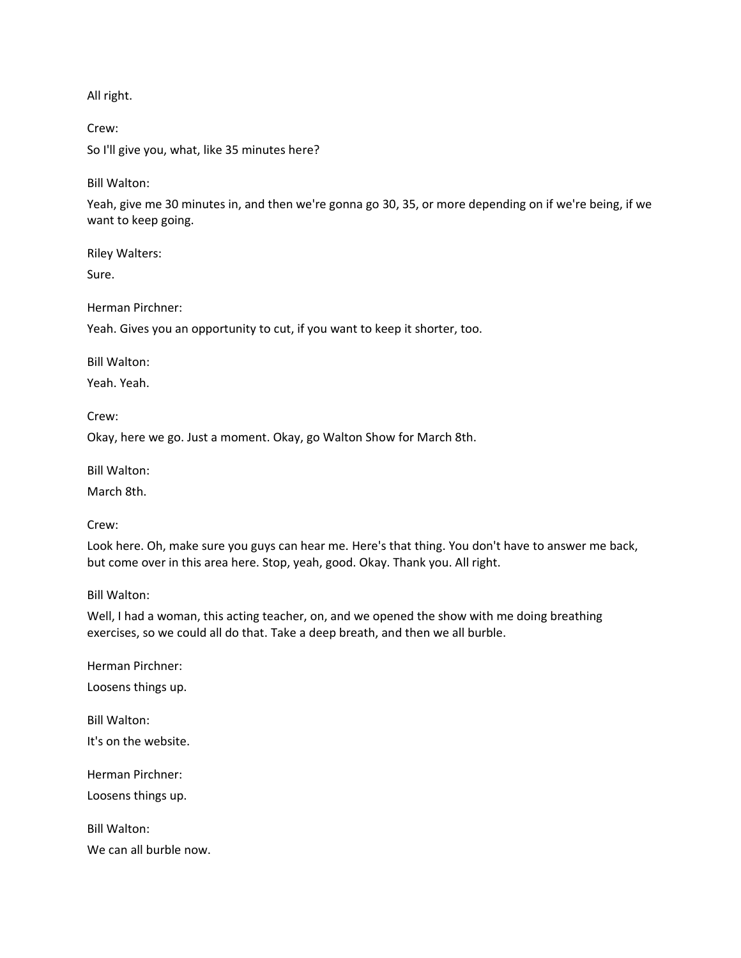All right.

Crew: So I'll give you, what, like 35 minutes here?

Bill Walton:

Yeah, give me 30 minutes in, and then we're gonna go 30, 35, or more depending on if we're being, if we want to keep going.

Riley Walters:

Sure.

Herman Pirchner:

Yeah. Gives you an opportunity to cut, if you want to keep it shorter, too.

Bill Walton:

Yeah. Yeah.

Crew:

Okay, here we go. Just a moment. Okay, go Walton Show for March 8th.

Bill Walton:

March 8th.

Crew:

Look here. Oh, make sure you guys can hear me. Here's that thing. You don't have to answer me back, but come over in this area here. Stop, yeah, good. Okay. Thank you. All right.

Bill Walton:

Well, I had a woman, this acting teacher, on, and we opened the show with me doing breathing exercises, so we could all do that. Take a deep breath, and then we all burble.

Herman Pirchner:

Loosens things up.

Bill Walton: It's on the website. Herman Pirchner: Loosens things up. Bill Walton:

We can all burble now.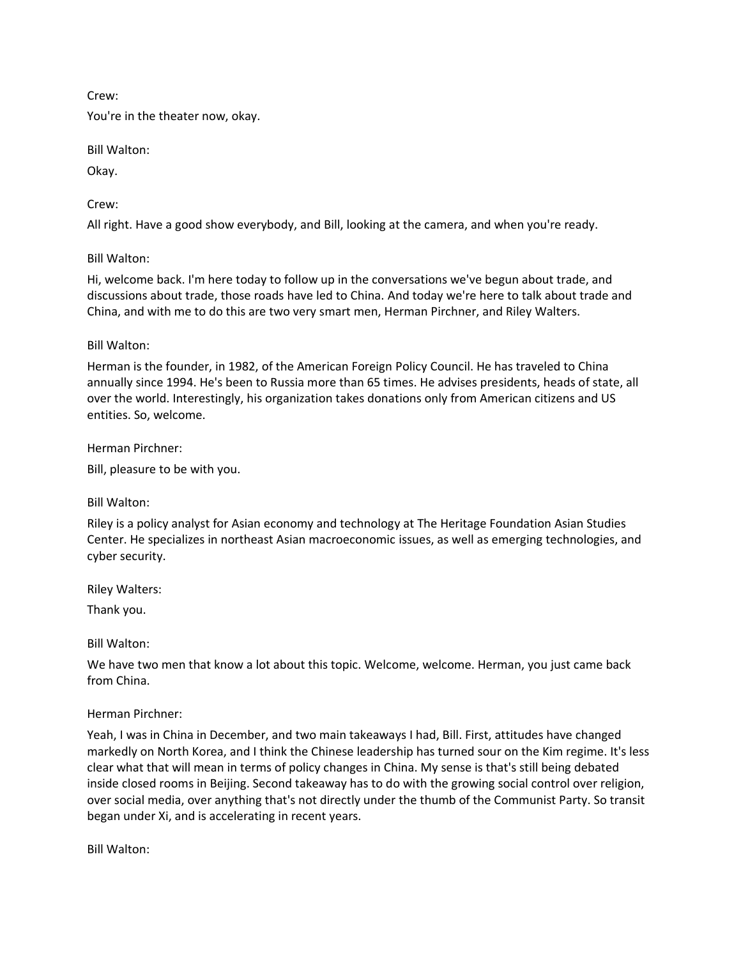Crew:

You're in the theater now, okay.

Bill Walton:

Okay.

Crew:

All right. Have a good show everybody, and Bill, looking at the camera, and when you're ready.

Bill Walton:

Hi, welcome back. I'm here today to follow up in the conversations we've begun about trade, and discussions about trade, those roads have led to China. And today we're here to talk about trade and China, and with me to do this are two very smart men, Herman Pirchner, and Riley Walters.

### Bill Walton:

Herman is the founder, in 1982, of the American Foreign Policy Council. He has traveled to China annually since 1994. He's been to Russia more than 65 times. He advises presidents, heads of state, all over the world. Interestingly, his organization takes donations only from American citizens and US entities. So, welcome.

Herman Pirchner:

Bill, pleasure to be with you.

Bill Walton:

Riley is a policy analyst for Asian economy and technology at The Heritage Foundation Asian Studies Center. He specializes in northeast Asian macroeconomic issues, as well as emerging technologies, and cyber security.

Riley Walters:

Thank you.

Bill Walton:

We have two men that know a lot about this topic. Welcome, welcome. Herman, you just came back from China.

## Herman Pirchner:

Yeah, I was in China in December, and two main takeaways I had, Bill. First, attitudes have changed markedly on North Korea, and I think the Chinese leadership has turned sour on the Kim regime. It's less clear what that will mean in terms of policy changes in China. My sense is that's still being debated inside closed rooms in Beijing. Second takeaway has to do with the growing social control over religion, over social media, over anything that's not directly under the thumb of the Communist Party. So transit began under Xi, and is accelerating in recent years.

Bill Walton: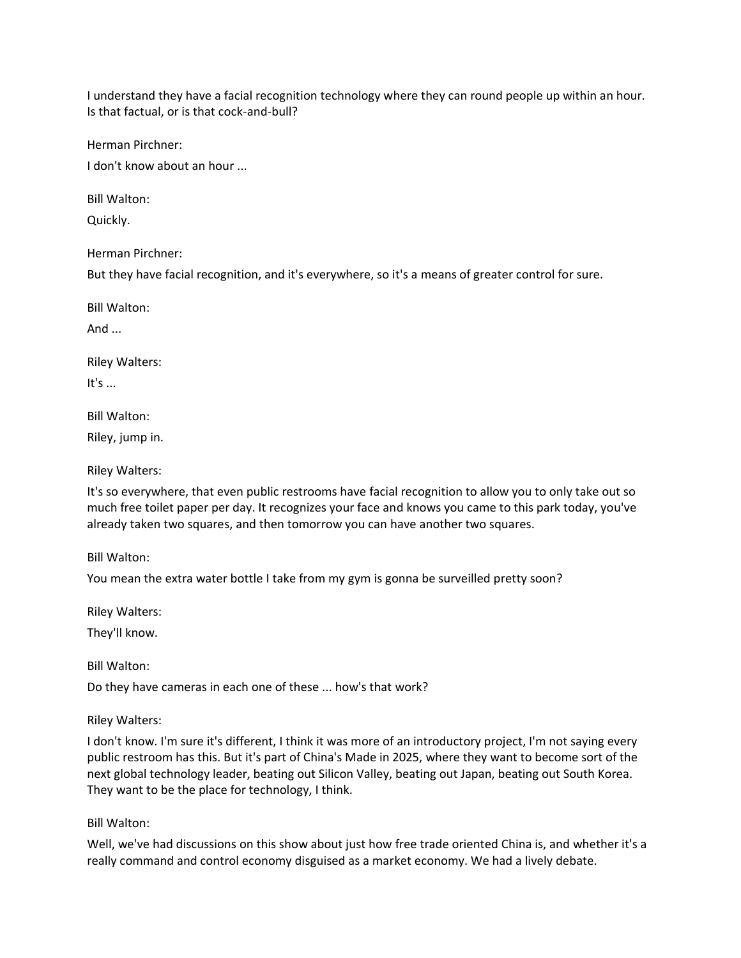I understand they have a facial recognition technology where they can round people up within an hour. Is that factual, or is that cock-and-bull?

Herman Pirchner:

I don't know about an hour ...

Bill Walton:

Quickly.

Herman Pirchner:

But they have facial recognition, and it's everywhere, so it's a means of greater control for sure.

Bill Walton:

And  $\ldots$ 

Riley Walters:

It's  $\dots$ 

Bill Walton:

Riley, jump in.

Riley Walters:

It's so everywhere, that even public restrooms have facial recognition to allow you to only take out so much free toilet paper per day. It recognizes your face and knows you came to this park today, you've already taken two squares, and then tomorrow you can have another two squares.

Bill Walton:

You mean the extra water bottle I take from my gym is gonna be surveilled pretty soon?

Riley Walters:

They'll know.

Bill Walton:

Do they have cameras in each one of these ... how's that work?

Riley Walters:

I don't know. I'm sure it's different, I think it was more of an introductory project, I'm not saying every public restroom has this. But it's part of China's Made in 2025, where they want to become sort of the next global technology leader, beating out Silicon Valley, beating out Japan, beating out South Korea. They want to be the place for technology, I think.

Bill Walton:

Well, we've had discussions on this show about just how free trade oriented China is, and whether it's a really command and control economy disguised as a market economy. We had a lively debate.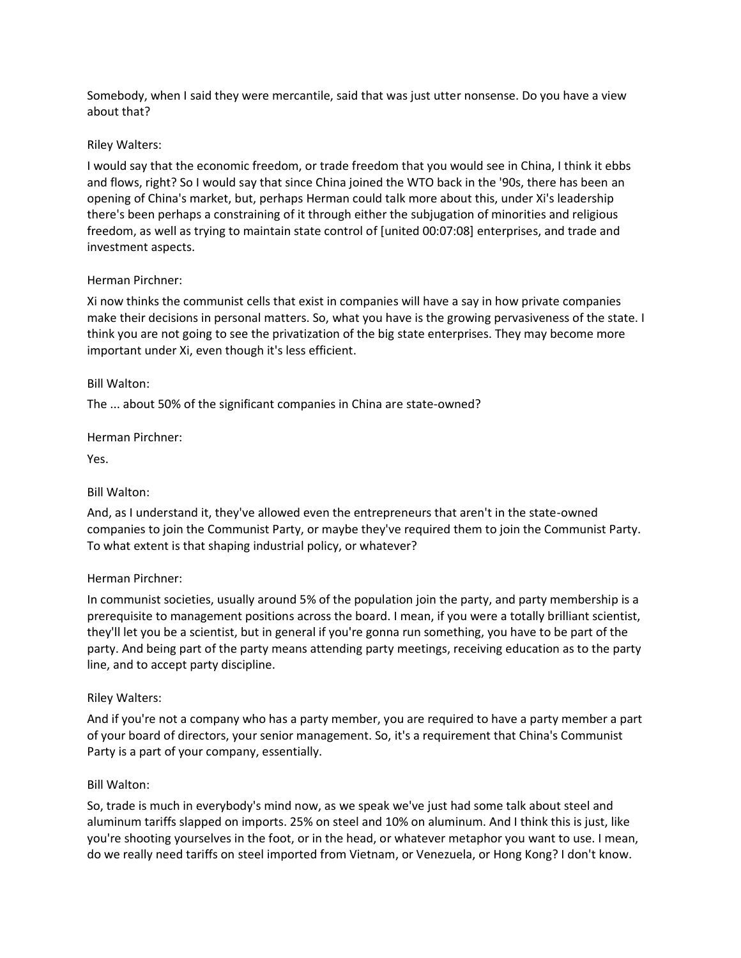Somebody, when I said they were mercantile, said that was just utter nonsense. Do you have a view about that?

## Riley Walters:

I would say that the economic freedom, or trade freedom that you would see in China, I think it ebbs and flows, right? So I would say that since China joined the WTO back in the '90s, there has been an opening of China's market, but, perhaps Herman could talk more about this, under Xi's leadership there's been perhaps a constraining of it through either the subjugation of minorities and religious freedom, as well as trying to maintain state control of [united 00:07:08] enterprises, and trade and investment aspects.

## Herman Pirchner:

Xi now thinks the communist cells that exist in companies will have a say in how private companies make their decisions in personal matters. So, what you have is the growing pervasiveness of the state. I think you are not going to see the privatization of the big state enterprises. They may become more important under Xi, even though it's less efficient.

## Bill Walton:

The ... about 50% of the significant companies in China are state-owned?

## Herman Pirchner:

Yes.

# Bill Walton:

And, as I understand it, they've allowed even the entrepreneurs that aren't in the state-owned companies to join the Communist Party, or maybe they've required them to join the Communist Party. To what extent is that shaping industrial policy, or whatever?

## Herman Pirchner:

In communist societies, usually around 5% of the population join the party, and party membership is a prerequisite to management positions across the board. I mean, if you were a totally brilliant scientist, they'll let you be a scientist, but in general if you're gonna run something, you have to be part of the party. And being part of the party means attending party meetings, receiving education as to the party line, and to accept party discipline.

## Riley Walters:

And if you're not a company who has a party member, you are required to have a party member a part of your board of directors, your senior management. So, it's a requirement that China's Communist Party is a part of your company, essentially.

## Bill Walton:

So, trade is much in everybody's mind now, as we speak we've just had some talk about steel and aluminum tariffs slapped on imports. 25% on steel and 10% on aluminum. And I think this is just, like you're shooting yourselves in the foot, or in the head, or whatever metaphor you want to use. I mean, do we really need tariffs on steel imported from Vietnam, or Venezuela, or Hong Kong? I don't know.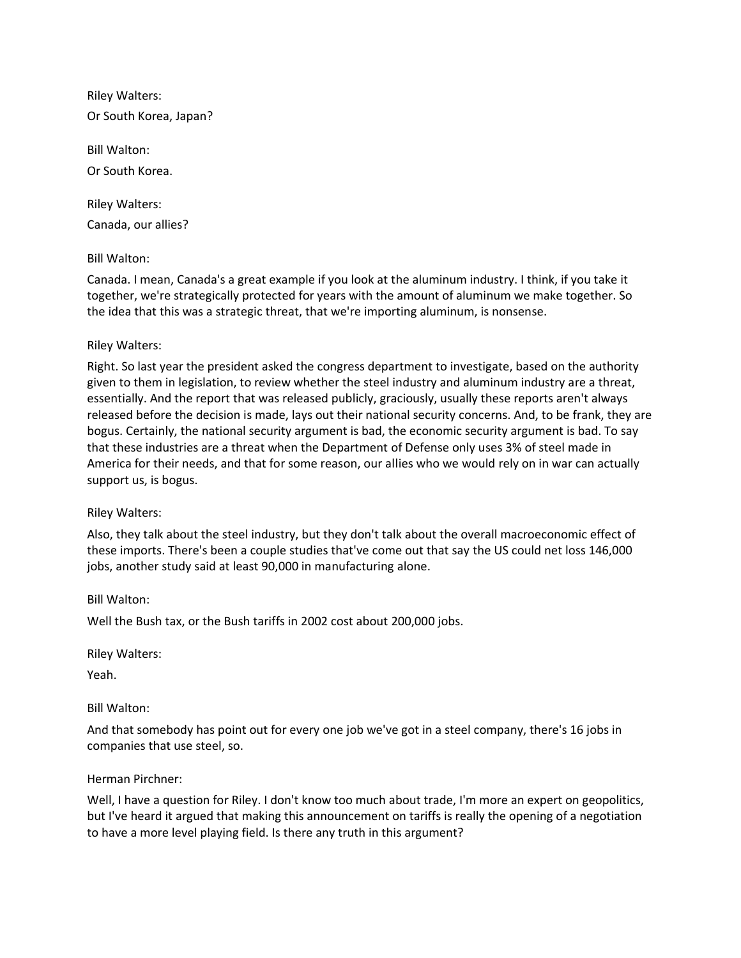Riley Walters: Or South Korea, Japan?

Bill Walton: Or South Korea.

Riley Walters: Canada, our allies?

## Bill Walton:

Canada. I mean, Canada's a great example if you look at the aluminum industry. I think, if you take it together, we're strategically protected for years with the amount of aluminum we make together. So the idea that this was a strategic threat, that we're importing aluminum, is nonsense.

## Riley Walters:

Right. So last year the president asked the congress department to investigate, based on the authority given to them in legislation, to review whether the steel industry and aluminum industry are a threat, essentially. And the report that was released publicly, graciously, usually these reports aren't always released before the decision is made, lays out their national security concerns. And, to be frank, they are bogus. Certainly, the national security argument is bad, the economic security argument is bad. To say that these industries are a threat when the Department of Defense only uses 3% of steel made in America for their needs, and that for some reason, our allies who we would rely on in war can actually support us, is bogus.

## Riley Walters:

Also, they talk about the steel industry, but they don't talk about the overall macroeconomic effect of these imports. There's been a couple studies that've come out that say the US could net loss 146,000 jobs, another study said at least 90,000 in manufacturing alone.

Bill Walton:

Well the Bush tax, or the Bush tariffs in 2002 cost about 200,000 jobs.

Riley Walters:

Yeah.

# Bill Walton:

And that somebody has point out for every one job we've got in a steel company, there's 16 jobs in companies that use steel, so.

## Herman Pirchner:

Well, I have a question for Riley. I don't know too much about trade, I'm more an expert on geopolitics, but I've heard it argued that making this announcement on tariffs is really the opening of a negotiation to have a more level playing field. Is there any truth in this argument?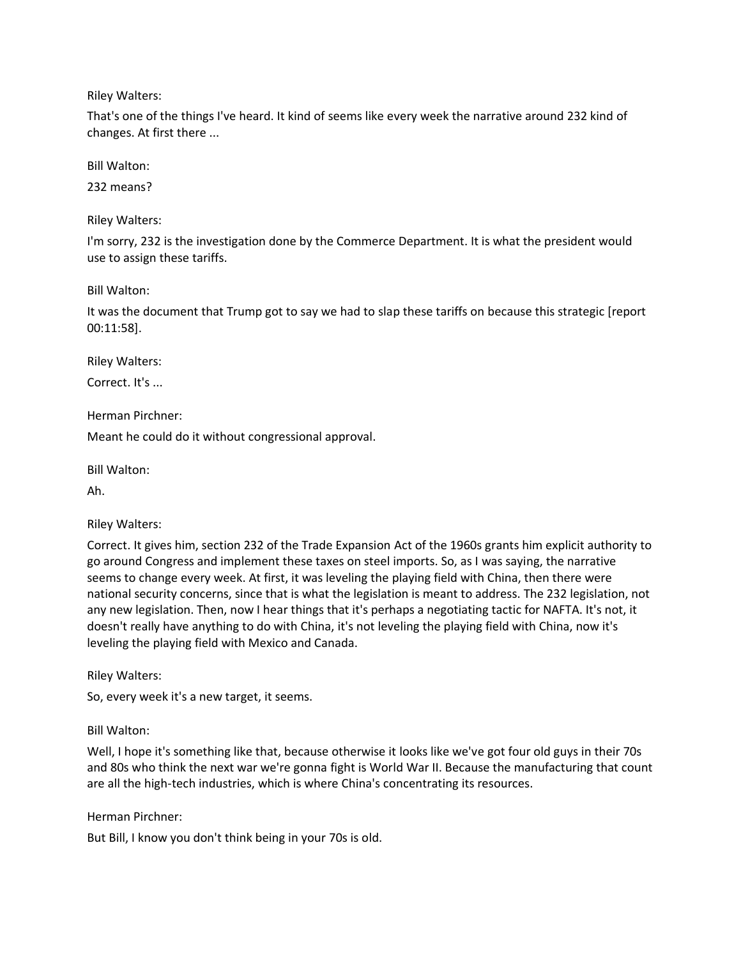Riley Walters:

That's one of the things I've heard. It kind of seems like every week the narrative around 232 kind of changes. At first there ...

Bill Walton:

232 means?

Riley Walters:

I'm sorry, 232 is the investigation done by the Commerce Department. It is what the president would use to assign these tariffs.

Bill Walton:

It was the document that Trump got to say we had to slap these tariffs on because this strategic [report 00:11:58].

Riley Walters:

Correct. It's ...

Herman Pirchner:

Meant he could do it without congressional approval.

Bill Walton:

Ah.

Riley Walters:

Correct. It gives him, section 232 of the Trade Expansion Act of the 1960s grants him explicit authority to go around Congress and implement these taxes on steel imports. So, as I was saying, the narrative seems to change every week. At first, it was leveling the playing field with China, then there were national security concerns, since that is what the legislation is meant to address. The 232 legislation, not any new legislation. Then, now I hear things that it's perhaps a negotiating tactic for NAFTA. It's not, it doesn't really have anything to do with China, it's not leveling the playing field with China, now it's leveling the playing field with Mexico and Canada.

Riley Walters:

So, every week it's a new target, it seems.

Bill Walton:

Well, I hope it's something like that, because otherwise it looks like we've got four old guys in their 70s and 80s who think the next war we're gonna fight is World War II. Because the manufacturing that count are all the high-tech industries, which is where China's concentrating its resources.

Herman Pirchner:

But Bill, I know you don't think being in your 70s is old.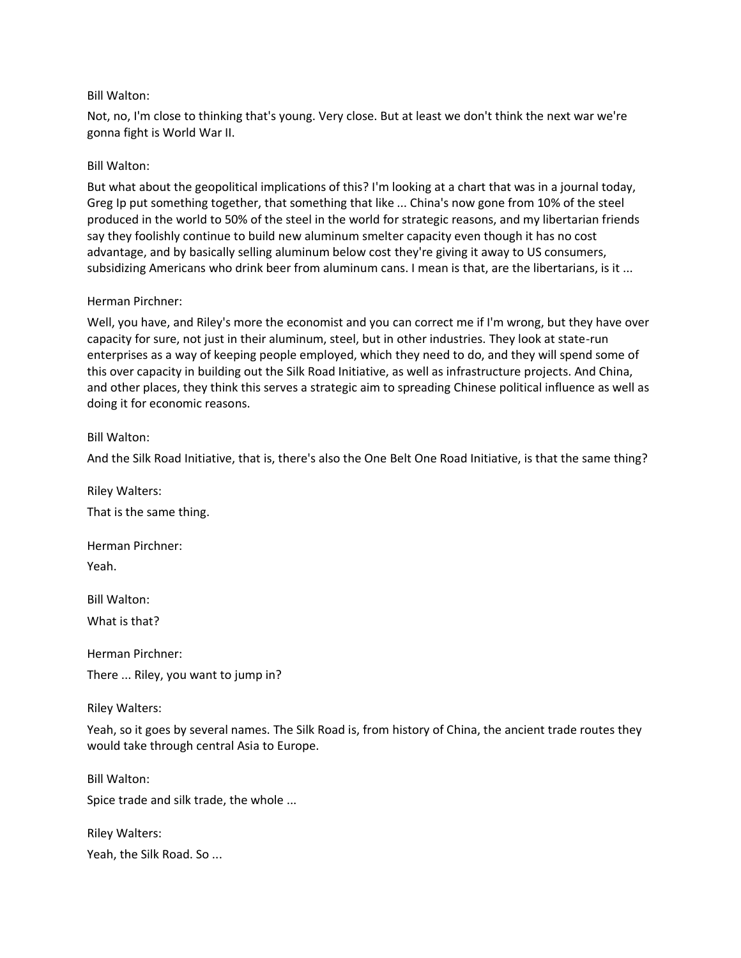### Bill Walton:

Not, no, I'm close to thinking that's young. Very close. But at least we don't think the next war we're gonna fight is World War II.

### Bill Walton:

But what about the geopolitical implications of this? I'm looking at a chart that was in a journal today, Greg Ip put something together, that something that like ... China's now gone from 10% of the steel produced in the world to 50% of the steel in the world for strategic reasons, and my libertarian friends say they foolishly continue to build new aluminum smelter capacity even though it has no cost advantage, and by basically selling aluminum below cost they're giving it away to US consumers, subsidizing Americans who drink beer from aluminum cans. I mean is that, are the libertarians, is it ...

### Herman Pirchner:

Well, you have, and Riley's more the economist and you can correct me if I'm wrong, but they have over capacity for sure, not just in their aluminum, steel, but in other industries. They look at state-run enterprises as a way of keeping people employed, which they need to do, and they will spend some of this over capacity in building out the Silk Road Initiative, as well as infrastructure projects. And China, and other places, they think this serves a strategic aim to spreading Chinese political influence as well as doing it for economic reasons.

### Bill Walton:

And the Silk Road Initiative, that is, there's also the One Belt One Road Initiative, is that the same thing?

Riley Walters:

That is the same thing.

Herman Pirchner: Yeah.

Bill Walton:

What is that?

Herman Pirchner:

There ... Riley, you want to jump in?

Riley Walters:

Yeah, so it goes by several names. The Silk Road is, from history of China, the ancient trade routes they would take through central Asia to Europe.

Bill Walton: Spice trade and silk trade, the whole ... Riley Walters:

Yeah, the Silk Road. So ...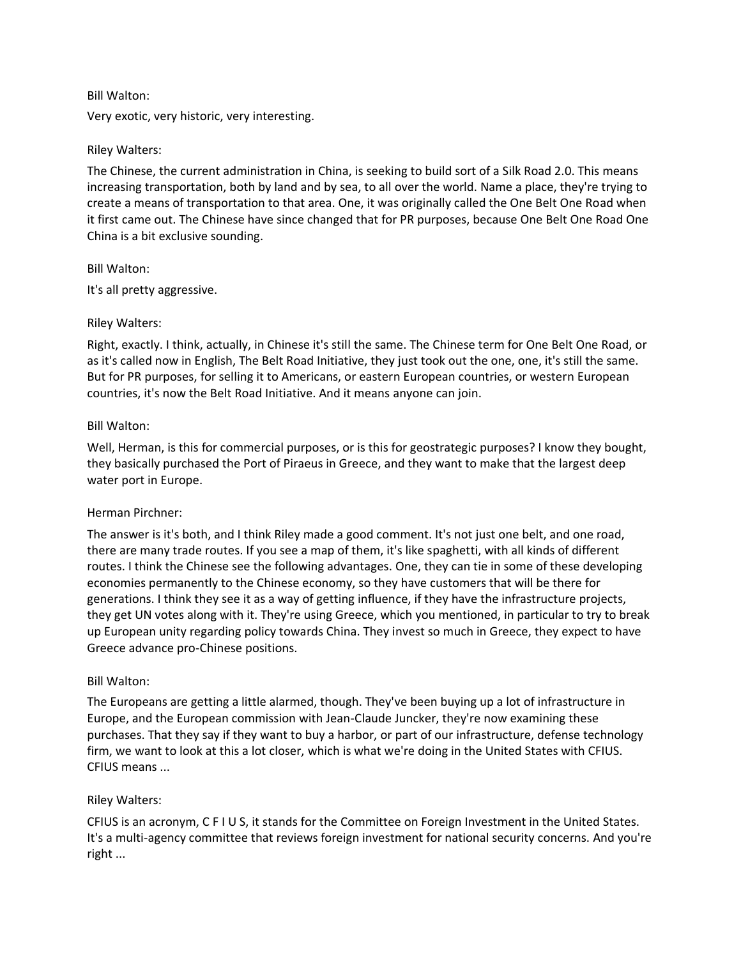## Bill Walton:

Very exotic, very historic, very interesting.

### Riley Walters:

The Chinese, the current administration in China, is seeking to build sort of a Silk Road 2.0. This means increasing transportation, both by land and by sea, to all over the world. Name a place, they're trying to create a means of transportation to that area. One, it was originally called the One Belt One Road when it first came out. The Chinese have since changed that for PR purposes, because One Belt One Road One China is a bit exclusive sounding.

### Bill Walton:

It's all pretty aggressive.

### Riley Walters:

Right, exactly. I think, actually, in Chinese it's still the same. The Chinese term for One Belt One Road, or as it's called now in English, The Belt Road Initiative, they just took out the one, one, it's still the same. But for PR purposes, for selling it to Americans, or eastern European countries, or western European countries, it's now the Belt Road Initiative. And it means anyone can join.

### Bill Walton:

Well, Herman, is this for commercial purposes, or is this for geostrategic purposes? I know they bought, they basically purchased the Port of Piraeus in Greece, and they want to make that the largest deep water port in Europe.

#### Herman Pirchner:

The answer is it's both, and I think Riley made a good comment. It's not just one belt, and one road, there are many trade routes. If you see a map of them, it's like spaghetti, with all kinds of different routes. I think the Chinese see the following advantages. One, they can tie in some of these developing economies permanently to the Chinese economy, so they have customers that will be there for generations. I think they see it as a way of getting influence, if they have the infrastructure projects, they get UN votes along with it. They're using Greece, which you mentioned, in particular to try to break up European unity regarding policy towards China. They invest so much in Greece, they expect to have Greece advance pro-Chinese positions.

#### Bill Walton:

The Europeans are getting a little alarmed, though. They've been buying up a lot of infrastructure in Europe, and the European commission with Jean-Claude Juncker, they're now examining these purchases. That they say if they want to buy a harbor, or part of our infrastructure, defense technology firm, we want to look at this a lot closer, which is what we're doing in the United States with CFIUS. CFIUS means ...

#### Riley Walters:

CFIUS is an acronym, C F I U S, it stands for the Committee on Foreign Investment in the United States. It's a multi-agency committee that reviews foreign investment for national security concerns. And you're right ...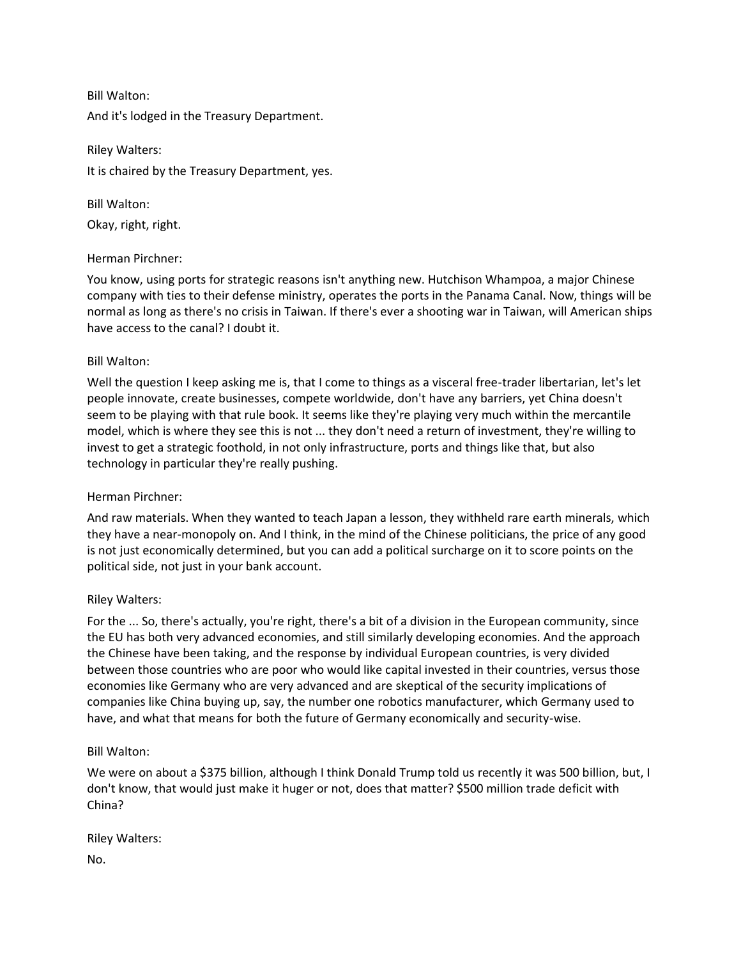Bill Walton: And it's lodged in the Treasury Department.

Riley Walters: It is chaired by the Treasury Department, yes.

Bill Walton: Okay, right, right.

## Herman Pirchner:

You know, using ports for strategic reasons isn't anything new. Hutchison Whampoa, a major Chinese company with ties to their defense ministry, operates the ports in the Panama Canal. Now, things will be normal as long as there's no crisis in Taiwan. If there's ever a shooting war in Taiwan, will American ships have access to the canal? I doubt it.

## Bill Walton:

Well the question I keep asking me is, that I come to things as a visceral free-trader libertarian, let's let people innovate, create businesses, compete worldwide, don't have any barriers, yet China doesn't seem to be playing with that rule book. It seems like they're playing very much within the mercantile model, which is where they see this is not ... they don't need a return of investment, they're willing to invest to get a strategic foothold, in not only infrastructure, ports and things like that, but also technology in particular they're really pushing.

# Herman Pirchner:

And raw materials. When they wanted to teach Japan a lesson, they withheld rare earth minerals, which they have a near-monopoly on. And I think, in the mind of the Chinese politicians, the price of any good is not just economically determined, but you can add a political surcharge on it to score points on the political side, not just in your bank account.

# Riley Walters:

For the ... So, there's actually, you're right, there's a bit of a division in the European community, since the EU has both very advanced economies, and still similarly developing economies. And the approach the Chinese have been taking, and the response by individual European countries, is very divided between those countries who are poor who would like capital invested in their countries, versus those economies like Germany who are very advanced and are skeptical of the security implications of companies like China buying up, say, the number one robotics manufacturer, which Germany used to have, and what that means for both the future of Germany economically and security-wise.

## Bill Walton:

We were on about a \$375 billion, although I think Donald Trump told us recently it was 500 billion, but, I don't know, that would just make it huger or not, does that matter? \$500 million trade deficit with China?

Riley Walters: No.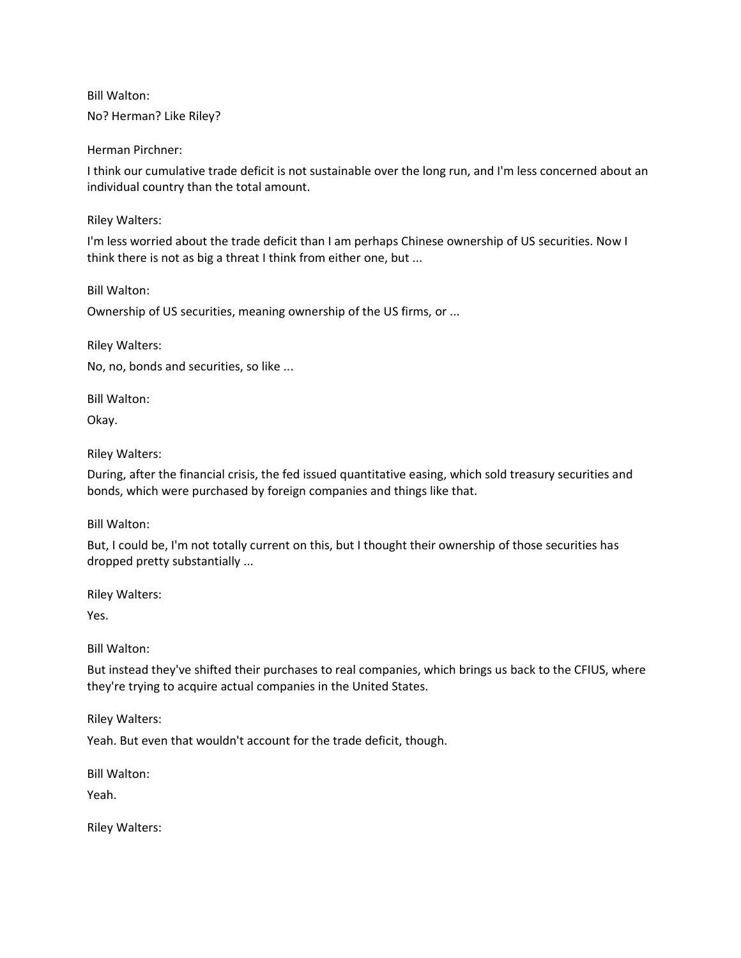Bill Walton: No? Herman? Like Riley?

Herman Pirchner:

I think our cumulative trade deficit is not sustainable over the long run, and I'm less concerned about an individual country than the total amount.

Riley Walters:

I'm less worried about the trade deficit than I am perhaps Chinese ownership of US securities. Now I think there is not as big a threat I think from either one, but ...

Bill Walton:

Ownership of US securities, meaning ownership of the US firms, or ...

Riley Walters:

No, no, bonds and securities, so like ...

Bill Walton:

Okay.

Riley Walters:

During, after the financial crisis, the fed issued quantitative easing, which sold treasury securities and bonds, which were purchased by foreign companies and things like that.

Bill Walton:

But, I could be, I'm not totally current on this, but I thought their ownership of those securities has dropped pretty substantially ...

Riley Walters:

Yes.

Bill Walton:

But instead they've shifted their purchases to real companies, which brings us back to the CFIUS, where they're trying to acquire actual companies in the United States.

Riley Walters:

Yeah. But even that wouldn't account for the trade deficit, though.

Bill Walton:

Yeah.

Riley Walters: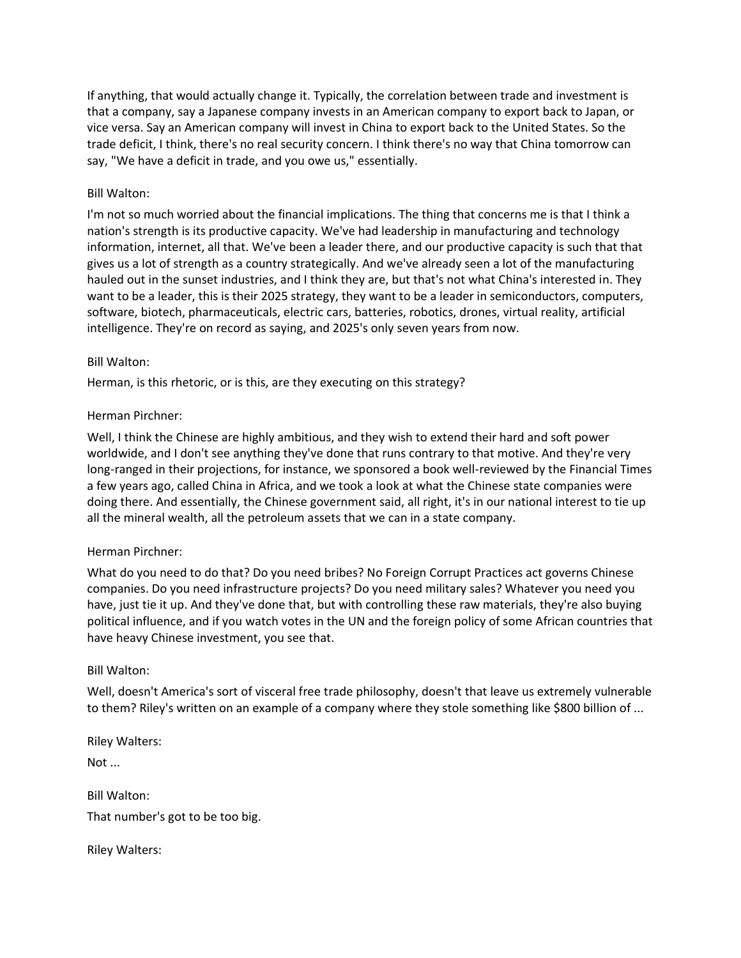If anything, that would actually change it. Typically, the correlation between trade and investment is that a company, say a Japanese company invests in an American company to export back to Japan, or vice versa. Say an American company will invest in China to export back to the United States. So the trade deficit, I think, there's no real security concern. I think there's no way that China tomorrow can say, "We have a deficit in trade, and you owe us," essentially.

## Bill Walton:

I'm not so much worried about the financial implications. The thing that concerns me is that I think a nation's strength is its productive capacity. We've had leadership in manufacturing and technology information, internet, all that. We've been a leader there, and our productive capacity is such that that gives us a lot of strength as a country strategically. And we've already seen a lot of the manufacturing hauled out in the sunset industries, and I think they are, but that's not what China's interested in. They want to be a leader, this is their 2025 strategy, they want to be a leader in semiconductors, computers, software, biotech, pharmaceuticals, electric cars, batteries, robotics, drones, virtual reality, artificial intelligence. They're on record as saying, and 2025's only seven years from now.

## Bill Walton:

Herman, is this rhetoric, or is this, are they executing on this strategy?

## Herman Pirchner:

Well, I think the Chinese are highly ambitious, and they wish to extend their hard and soft power worldwide, and I don't see anything they've done that runs contrary to that motive. And they're very long-ranged in their projections, for instance, we sponsored a book well-reviewed by the Financial Times a few years ago, called China in Africa, and we took a look at what the Chinese state companies were doing there. And essentially, the Chinese government said, all right, it's in our national interest to tie up all the mineral wealth, all the petroleum assets that we can in a state company.

## Herman Pirchner:

What do you need to do that? Do you need bribes? No Foreign Corrupt Practices act governs Chinese companies. Do you need infrastructure projects? Do you need military sales? Whatever you need you have, just tie it up. And they've done that, but with controlling these raw materials, they're also buying political influence, and if you watch votes in the UN and the foreign policy of some African countries that have heavy Chinese investment, you see that.

## Bill Walton:

Well, doesn't America's sort of visceral free trade philosophy, doesn't that leave us extremely vulnerable to them? Riley's written on an example of a company where they stole something like \$800 billion of ...

Riley Walters: Not ... Bill Walton: That number's got to be too big.

Riley Walters: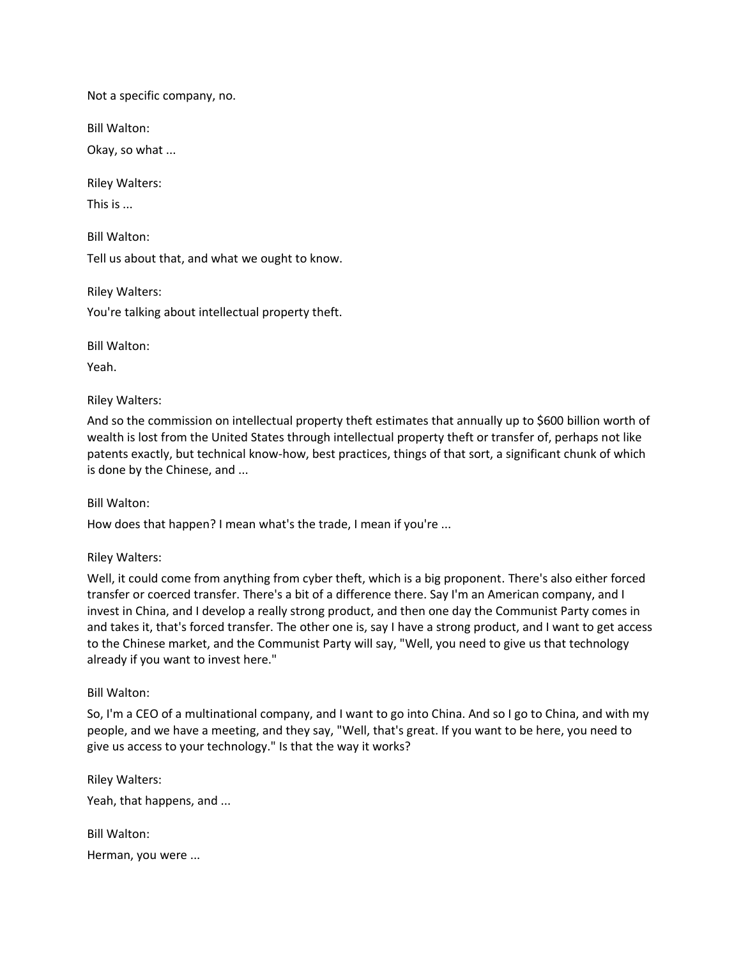Not a specific company, no.

Bill Walton:

Okay, so what ...

Riley Walters:

This is ...

Bill Walton:

Tell us about that, and what we ought to know.

Riley Walters:

You're talking about intellectual property theft.

Bill Walton:

Yeah.

Riley Walters:

And so the commission on intellectual property theft estimates that annually up to \$600 billion worth of wealth is lost from the United States through intellectual property theft or transfer of, perhaps not like patents exactly, but technical know-how, best practices, things of that sort, a significant chunk of which is done by the Chinese, and ...

Bill Walton:

How does that happen? I mean what's the trade, I mean if you're ...

Riley Walters:

Well, it could come from anything from cyber theft, which is a big proponent. There's also either forced transfer or coerced transfer. There's a bit of a difference there. Say I'm an American company, and I invest in China, and I develop a really strong product, and then one day the Communist Party comes in and takes it, that's forced transfer. The other one is, say I have a strong product, and I want to get access to the Chinese market, and the Communist Party will say, "Well, you need to give us that technology already if you want to invest here."

Bill Walton:

So, I'm a CEO of a multinational company, and I want to go into China. And so I go to China, and with my people, and we have a meeting, and they say, "Well, that's great. If you want to be here, you need to give us access to your technology." Is that the way it works?

Riley Walters: Yeah, that happens, and ... Bill Walton:

Herman, you were ...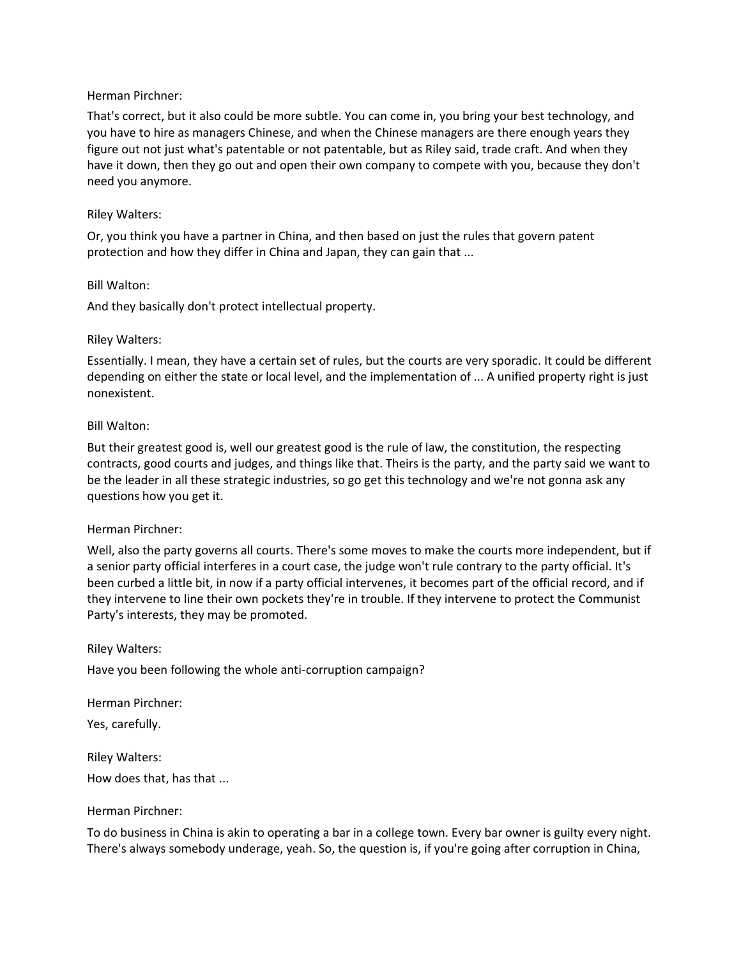## Herman Pirchner:

That's correct, but it also could be more subtle. You can come in, you bring your best technology, and you have to hire as managers Chinese, and when the Chinese managers are there enough years they figure out not just what's patentable or not patentable, but as Riley said, trade craft. And when they have it down, then they go out and open their own company to compete with you, because they don't need you anymore.

## Riley Walters:

Or, you think you have a partner in China, and then based on just the rules that govern patent protection and how they differ in China and Japan, they can gain that ...

### Bill Walton:

And they basically don't protect intellectual property.

### Riley Walters:

Essentially. I mean, they have a certain set of rules, but the courts are very sporadic. It could be different depending on either the state or local level, and the implementation of ... A unified property right is just nonexistent.

### Bill Walton:

But their greatest good is, well our greatest good is the rule of law, the constitution, the respecting contracts, good courts and judges, and things like that. Theirs is the party, and the party said we want to be the leader in all these strategic industries, so go get this technology and we're not gonna ask any questions how you get it.

## Herman Pirchner:

Well, also the party governs all courts. There's some moves to make the courts more independent, but if a senior party official interferes in a court case, the judge won't rule contrary to the party official. It's been curbed a little bit, in now if a party official intervenes, it becomes part of the official record, and if they intervene to line their own pockets they're in trouble. If they intervene to protect the Communist Party's interests, they may be promoted.

Riley Walters:

Have you been following the whole anti-corruption campaign?

Herman Pirchner:

Yes, carefully.

Riley Walters: How does that, has that ...

#### Herman Pirchner:

To do business in China is akin to operating a bar in a college town. Every bar owner is guilty every night. There's always somebody underage, yeah. So, the question is, if you're going after corruption in China,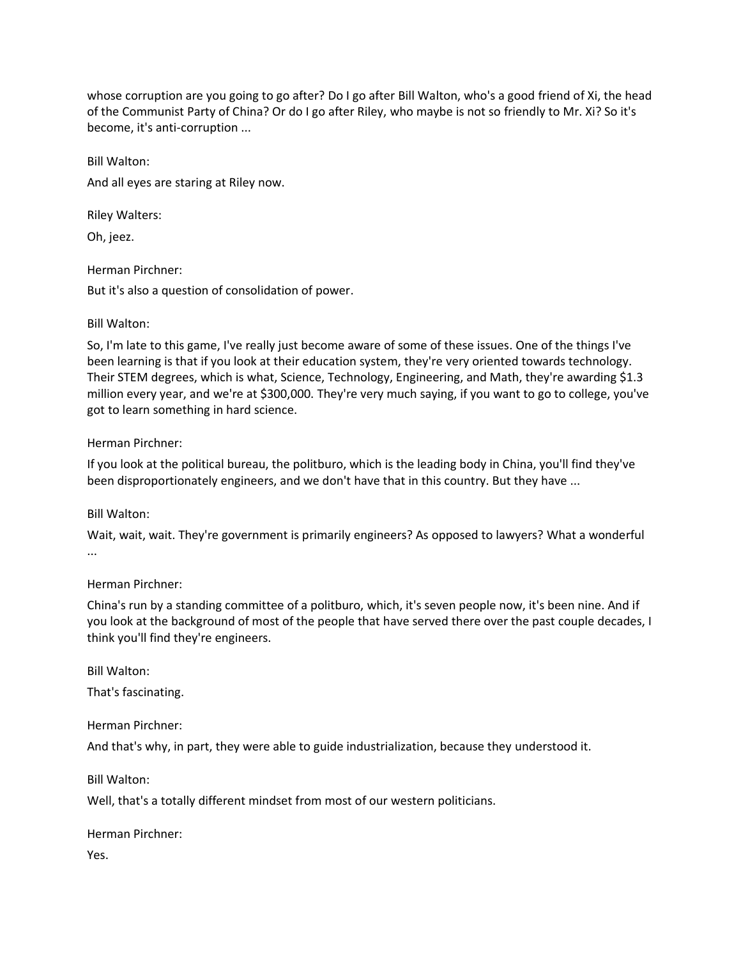whose corruption are you going to go after? Do I go after Bill Walton, who's a good friend of Xi, the head of the Communist Party of China? Or do I go after Riley, who maybe is not so friendly to Mr. Xi? So it's become, it's anti-corruption ...

Bill Walton: And all eyes are staring at Riley now.

Riley Walters:

Oh, jeez.

Herman Pirchner:

But it's also a question of consolidation of power.

# Bill Walton:

So, I'm late to this game, I've really just become aware of some of these issues. One of the things I've been learning is that if you look at their education system, they're very oriented towards technology. Their STEM degrees, which is what, Science, Technology, Engineering, and Math, they're awarding \$1.3 million every year, and we're at \$300,000. They're very much saying, if you want to go to college, you've got to learn something in hard science.

# Herman Pirchner:

If you look at the political bureau, the politburo, which is the leading body in China, you'll find they've been disproportionately engineers, and we don't have that in this country. But they have ...

# Bill Walton:

Wait, wait, wait. They're government is primarily engineers? As opposed to lawyers? What a wonderful ...

# Herman Pirchner:

China's run by a standing committee of a politburo, which, it's seven people now, it's been nine. And if you look at the background of most of the people that have served there over the past couple decades, I think you'll find they're engineers.

Bill Walton:

That's fascinating.

Herman Pirchner:

And that's why, in part, they were able to guide industrialization, because they understood it.

Bill Walton:

Well, that's a totally different mindset from most of our western politicians.

Herman Pirchner:

Yes.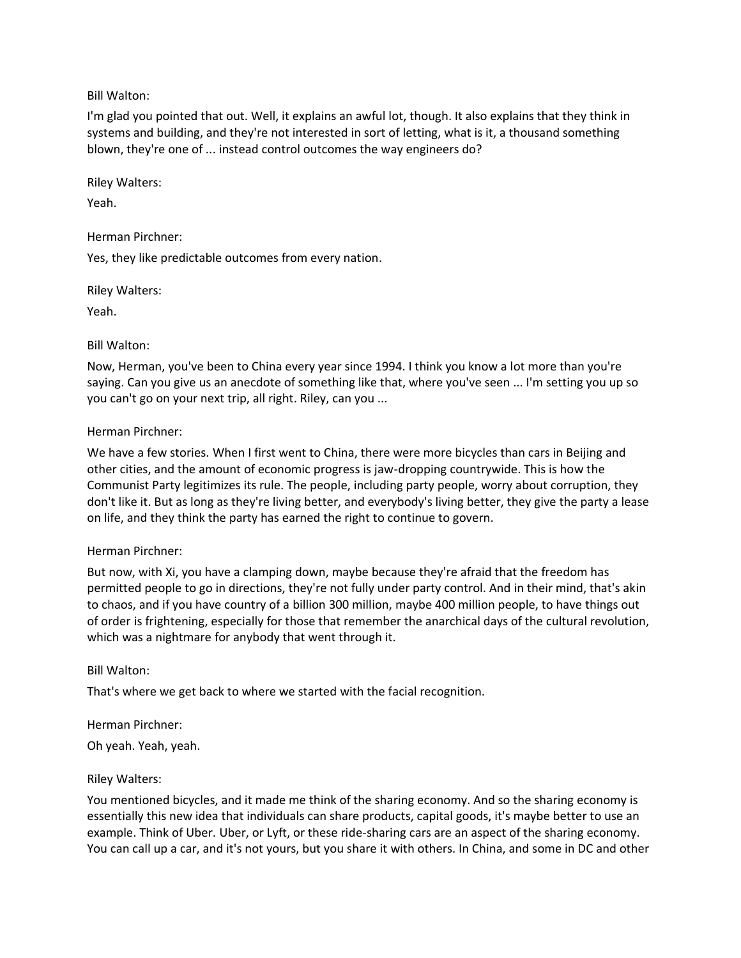## Bill Walton:

I'm glad you pointed that out. Well, it explains an awful lot, though. It also explains that they think in systems and building, and they're not interested in sort of letting, what is it, a thousand something blown, they're one of ... instead control outcomes the way engineers do?

Riley Walters:

Yeah.

Herman Pirchner:

Yes, they like predictable outcomes from every nation.

Riley Walters:

Yeah.

## Bill Walton:

Now, Herman, you've been to China every year since 1994. I think you know a lot more than you're saying. Can you give us an anecdote of something like that, where you've seen ... I'm setting you up so you can't go on your next trip, all right. Riley, can you ...

## Herman Pirchner:

We have a few stories. When I first went to China, there were more bicycles than cars in Beijing and other cities, and the amount of economic progress is jaw-dropping countrywide. This is how the Communist Party legitimizes its rule. The people, including party people, worry about corruption, they don't like it. But as long as they're living better, and everybody's living better, they give the party a lease on life, and they think the party has earned the right to continue to govern.

#### Herman Pirchner:

But now, with Xi, you have a clamping down, maybe because they're afraid that the freedom has permitted people to go in directions, they're not fully under party control. And in their mind, that's akin to chaos, and if you have country of a billion 300 million, maybe 400 million people, to have things out of order is frightening, especially for those that remember the anarchical days of the cultural revolution, which was a nightmare for anybody that went through it.

#### Bill Walton:

That's where we get back to where we started with the facial recognition.

#### Herman Pirchner:

Oh yeah. Yeah, yeah.

## Riley Walters:

You mentioned bicycles, and it made me think of the sharing economy. And so the sharing economy is essentially this new idea that individuals can share products, capital goods, it's maybe better to use an example. Think of Uber. Uber, or Lyft, or these ride-sharing cars are an aspect of the sharing economy. You can call up a car, and it's not yours, but you share it with others. In China, and some in DC and other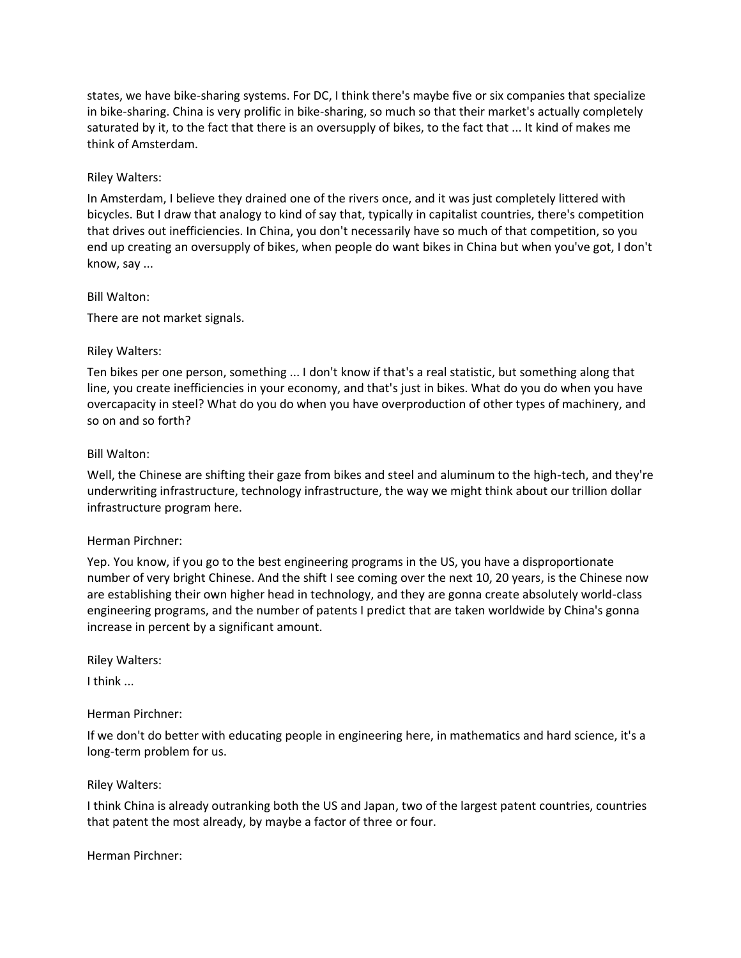states, we have bike-sharing systems. For DC, I think there's maybe five or six companies that specialize in bike-sharing. China is very prolific in bike-sharing, so much so that their market's actually completely saturated by it, to the fact that there is an oversupply of bikes, to the fact that ... It kind of makes me think of Amsterdam.

## Riley Walters:

In Amsterdam, I believe they drained one of the rivers once, and it was just completely littered with bicycles. But I draw that analogy to kind of say that, typically in capitalist countries, there's competition that drives out inefficiencies. In China, you don't necessarily have so much of that competition, so you end up creating an oversupply of bikes, when people do want bikes in China but when you've got, I don't know, say ...

### Bill Walton:

There are not market signals.

### Riley Walters:

Ten bikes per one person, something ... I don't know if that's a real statistic, but something along that line, you create inefficiencies in your economy, and that's just in bikes. What do you do when you have overcapacity in steel? What do you do when you have overproduction of other types of machinery, and so on and so forth?

### Bill Walton:

Well, the Chinese are shifting their gaze from bikes and steel and aluminum to the high-tech, and they're underwriting infrastructure, technology infrastructure, the way we might think about our trillion dollar infrastructure program here.

#### Herman Pirchner:

Yep. You know, if you go to the best engineering programs in the US, you have a disproportionate number of very bright Chinese. And the shift I see coming over the next 10, 20 years, is the Chinese now are establishing their own higher head in technology, and they are gonna create absolutely world-class engineering programs, and the number of patents I predict that are taken worldwide by China's gonna increase in percent by a significant amount.

Riley Walters:

I think ...

## Herman Pirchner:

If we don't do better with educating people in engineering here, in mathematics and hard science, it's a long-term problem for us.

## Riley Walters:

I think China is already outranking both the US and Japan, two of the largest patent countries, countries that patent the most already, by maybe a factor of three or four.

Herman Pirchner: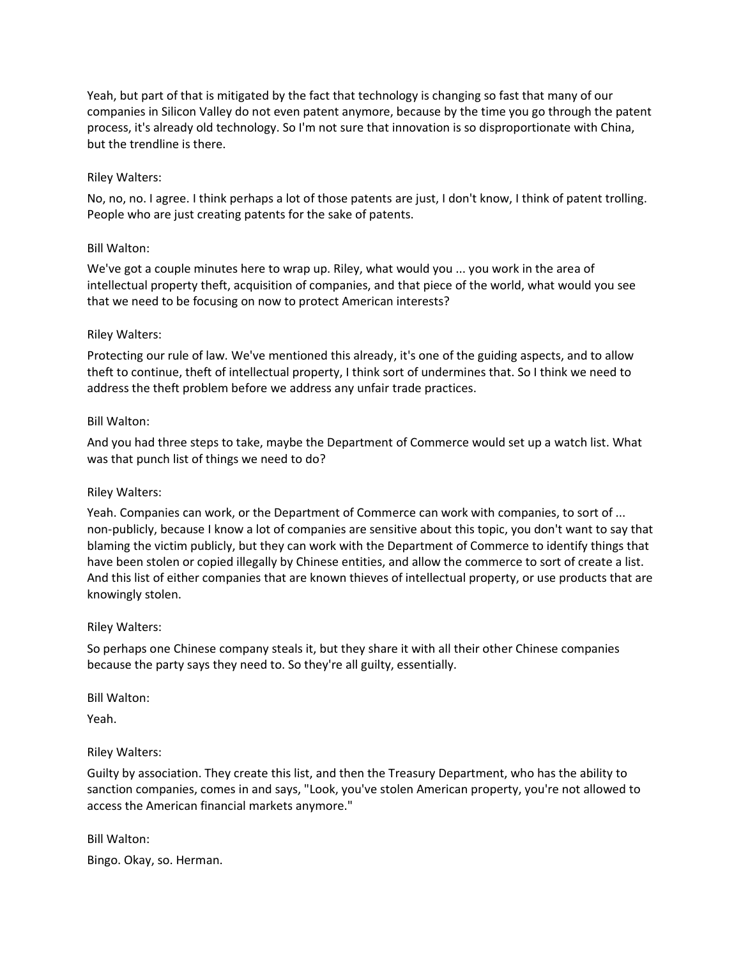Yeah, but part of that is mitigated by the fact that technology is changing so fast that many of our companies in Silicon Valley do not even patent anymore, because by the time you go through the patent process, it's already old technology. So I'm not sure that innovation is so disproportionate with China, but the trendline is there.

## Riley Walters:

No, no, no. I agree. I think perhaps a lot of those patents are just, I don't know, I think of patent trolling. People who are just creating patents for the sake of patents.

## Bill Walton:

We've got a couple minutes here to wrap up. Riley, what would you ... you work in the area of intellectual property theft, acquisition of companies, and that piece of the world, what would you see that we need to be focusing on now to protect American interests?

## Riley Walters:

Protecting our rule of law. We've mentioned this already, it's one of the guiding aspects, and to allow theft to continue, theft of intellectual property, I think sort of undermines that. So I think we need to address the theft problem before we address any unfair trade practices.

## Bill Walton:

And you had three steps to take, maybe the Department of Commerce would set up a watch list. What was that punch list of things we need to do?

## Riley Walters:

Yeah. Companies can work, or the Department of Commerce can work with companies, to sort of ... non-publicly, because I know a lot of companies are sensitive about this topic, you don't want to say that blaming the victim publicly, but they can work with the Department of Commerce to identify things that have been stolen or copied illegally by Chinese entities, and allow the commerce to sort of create a list. And this list of either companies that are known thieves of intellectual property, or use products that are knowingly stolen.

## Riley Walters:

So perhaps one Chinese company steals it, but they share it with all their other Chinese companies because the party says they need to. So they're all guilty, essentially.

## Bill Walton:

Yeah.

## Riley Walters:

Guilty by association. They create this list, and then the Treasury Department, who has the ability to sanction companies, comes in and says, "Look, you've stolen American property, you're not allowed to access the American financial markets anymore."

# Bill Walton: Bingo. Okay, so. Herman.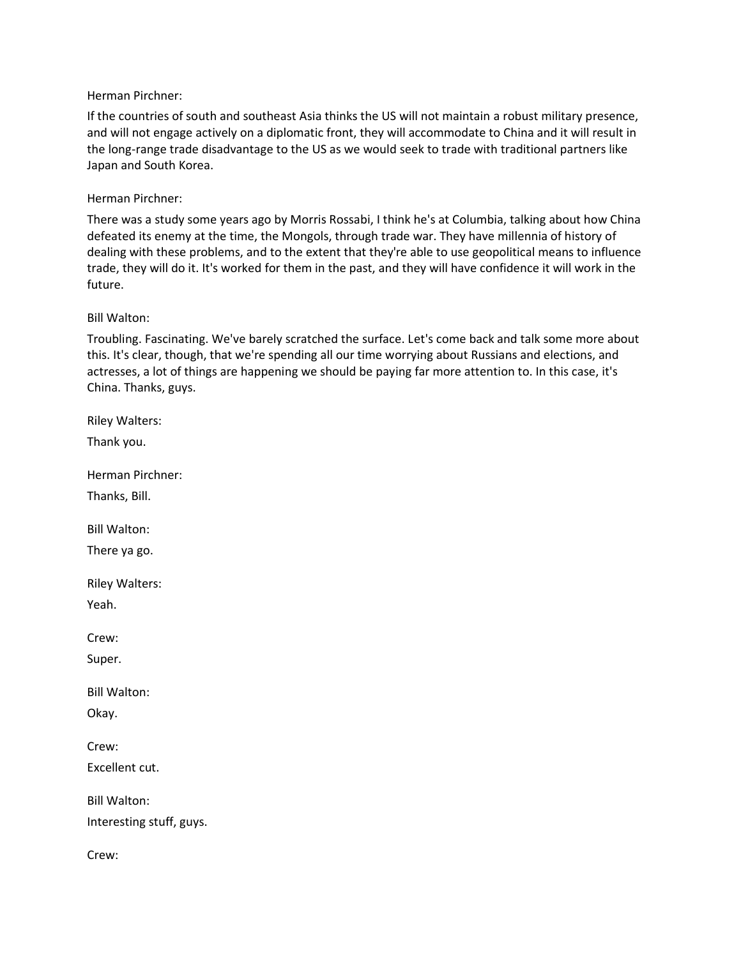## Herman Pirchner:

If the countries of south and southeast Asia thinks the US will not maintain a robust military presence, and will not engage actively on a diplomatic front, they will accommodate to China and it will result in the long-range trade disadvantage to the US as we would seek to trade with traditional partners like Japan and South Korea.

### Herman Pirchner:

There was a study some years ago by Morris Rossabi, I think he's at Columbia, talking about how China defeated its enemy at the time, the Mongols, through trade war. They have millennia of history of dealing with these problems, and to the extent that they're able to use geopolitical means to influence trade, they will do it. It's worked for them in the past, and they will have confidence it will work in the future.

### Bill Walton:

Troubling. Fascinating. We've barely scratched the surface. Let's come back and talk some more about this. It's clear, though, that we're spending all our time worrying about Russians and elections, and actresses, a lot of things are happening we should be paying far more attention to. In this case, it's China. Thanks, guys.

Riley Walters: Thank you. Herman Pirchner: Thanks, Bill. Bill Walton: There ya go. Riley Walters: Yeah. Crew: Super. Bill Walton: Okay. Crew: Excellent cut. Bill Walton: Interesting stuff, guys. Crew: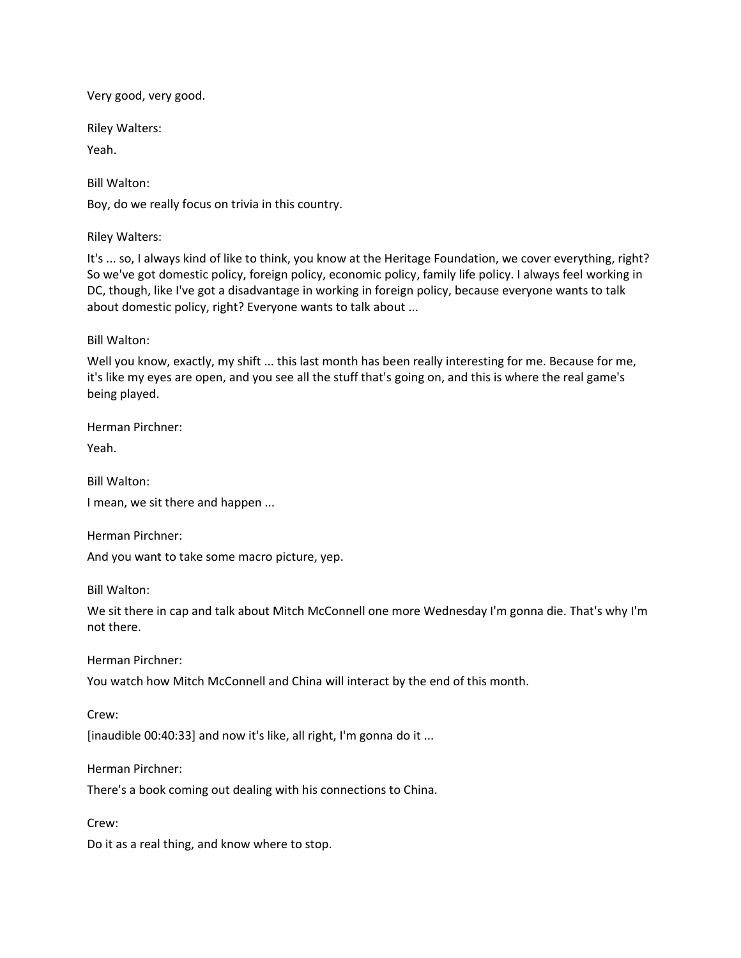Very good, very good.

Riley Walters:

Yeah.

Bill Walton:

Boy, do we really focus on trivia in this country.

Riley Walters:

It's ... so, I always kind of like to think, you know at the Heritage Foundation, we cover everything, right? So we've got domestic policy, foreign policy, economic policy, family life policy. I always feel working in DC, though, like I've got a disadvantage in working in foreign policy, because everyone wants to talk about domestic policy, right? Everyone wants to talk about ...

Bill Walton:

Well you know, exactly, my shift ... this last month has been really interesting for me. Because for me, it's like my eyes are open, and you see all the stuff that's going on, and this is where the real game's being played.

Herman Pirchner:

Yeah.

Bill Walton:

I mean, we sit there and happen ...

Herman Pirchner:

And you want to take some macro picture, yep.

Bill Walton:

We sit there in cap and talk about Mitch McConnell one more Wednesday I'm gonna die. That's why I'm not there.

Herman Pirchner:

You watch how Mitch McConnell and China will interact by the end of this month.

Crew:

[inaudible 00:40:33] and now it's like, all right, I'm gonna do it ...

Herman Pirchner:

There's a book coming out dealing with his connections to China.

Crew:

Do it as a real thing, and know where to stop.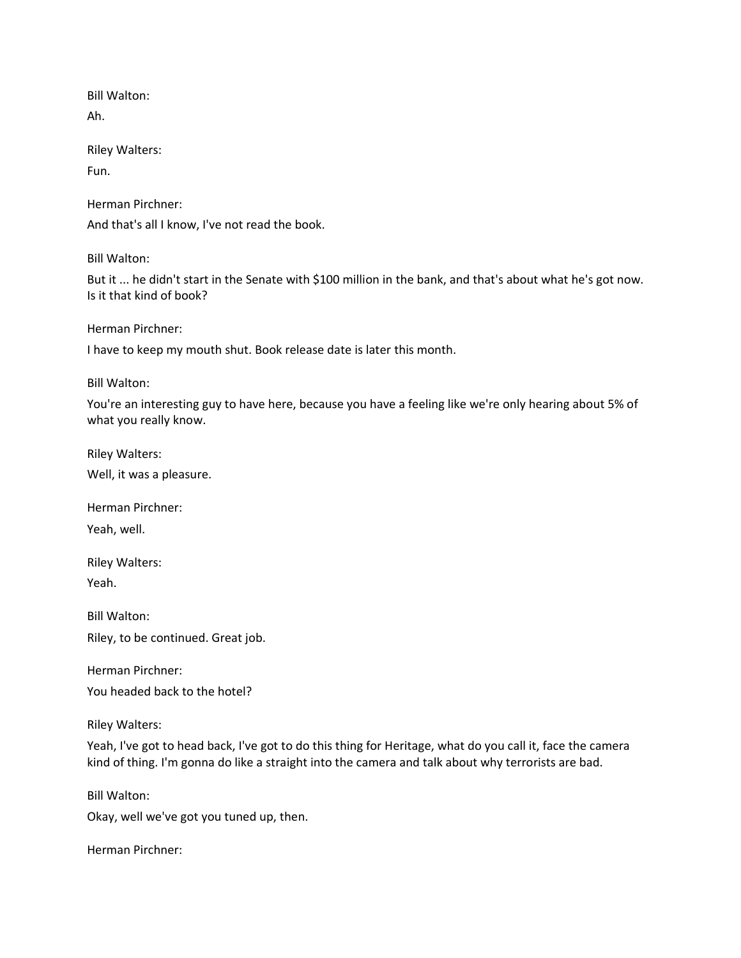Bill Walton:

Ah.

Riley Walters:

Fun.

Herman Pirchner:

And that's all I know, I've not read the book.

Bill Walton:

But it ... he didn't start in the Senate with \$100 million in the bank, and that's about what he's got now. Is it that kind of book?

Herman Pirchner:

I have to keep my mouth shut. Book release date is later this month.

Bill Walton:

You're an interesting guy to have here, because you have a feeling like we're only hearing about 5% of what you really know.

Riley Walters:

Well, it was a pleasure.

Herman Pirchner:

Yeah, well.

Riley Walters: Yeah.

Bill Walton: Riley, to be continued. Great job.

Herman Pirchner:

You headed back to the hotel?

Riley Walters:

Yeah, I've got to head back, I've got to do this thing for Heritage, what do you call it, face the camera kind of thing. I'm gonna do like a straight into the camera and talk about why terrorists are bad.

Bill Walton:

Okay, well we've got you tuned up, then.

Herman Pirchner: